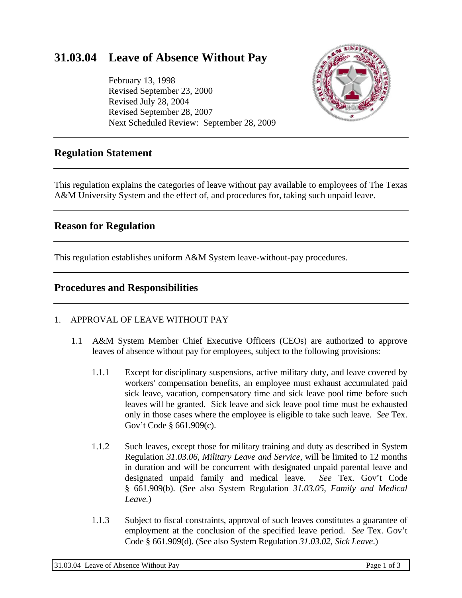# **31.03.04 Leave of Absence Without Pay**

February 13, 1998 Revised September 23, 2000 Revised July 28, 2004 Revised September 28, 2007 Next Scheduled Review: September 28, 2009



## **Regulation Statement**

This regulation explains the categories of leave without pay available to employees of The Texas A&M University System and the effect of, and procedures for, taking such unpaid leave.

## **Reason for Regulation**

This regulation establishes uniform A&M System leave-without-pay procedures.

## **Procedures and Responsibilities**

#### 1. APPROVAL OF LEAVE WITHOUT PAY

- 1.1 A&M System Member Chief Executive Officers (CEOs) are authorized to approve leaves of absence without pay for employees, subject to the following provisions:
	- 1.1.1 Except for disciplinary suspensions, active military duty, and leave covered by workers' compensation benefits, an employee must exhaust accumulated paid sick leave, vacation, compensatory time and sick leave pool time before such leaves will be granted. Sick leave and sick leave pool time must be exhausted only in those cases where the employee is eligible to take such leave. *See* Tex. Gov't Code § 661.909(c).
	- 1.1.2 Such leaves, except those for military training and duty as described in System Regulation *31.03.06, Military Leave and Service*, will be limited to 12 months in duration and will be concurrent with designated unpaid parental leave and designated unpaid family and medical leave. *See* Tex. Gov't Code § 661.909(b). (See also System Regulation *31.03.05, Family and Medical Leave.*)
	- 1.1.3 Subject to fiscal constraints, approval of such leaves constitutes a guarantee of employment at the conclusion of the specified leave period. *See* Tex. Gov't Code § 661.909(d). (See also System Regulation *31.03.02, Sick Leave*.)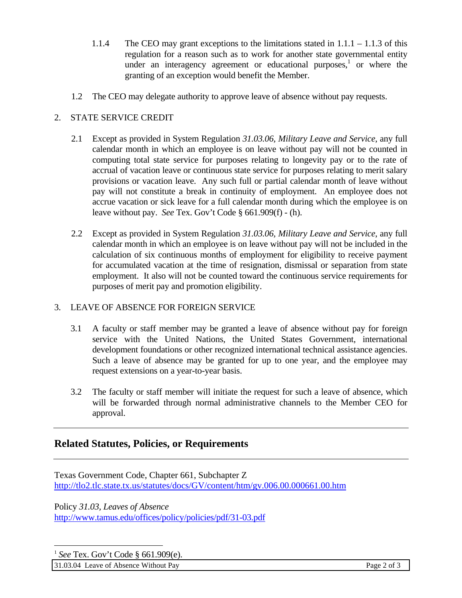- 1.1.4 The CEO may grant exceptions to the limitations stated in  $1.1 \cdot 1 1.1 \cdot 3$  of this regulation for a reason such as to work for another state governmental entity under an interagency agreement or educational purposes, $<sup>1</sup>$  or where the</sup> granting of an exception would benefit the Member.
- 1.2 The CEO may delegate authority to approve leave of absence without pay requests.

## 2. STATE SERVICE CREDIT

- 2.1 Except as provided in System Regulation *31.03.06, Military Leave and Service*, any full calendar month in which an employee is on leave without pay will not be counted in computing total state service for purposes relating to longevity pay or to the rate of accrual of vacation leave or continuous state service for purposes relating to merit salary provisions or vacation leave. Any such full or partial calendar month of leave without pay will not constitute a break in continuity of employment. An employee does not accrue vacation or sick leave for a full calendar month during which the employee is on leave without pay. *See* Tex. Gov't Code § 661.909(f) - (h).
- 2.2 Except as provided in System Regulation *31.03.06, Military Leave and Service*, any full calendar month in which an employee is on leave without pay will not be included in the calculation of six continuous months of employment for eligibility to receive payment for accumulated vacation at the time of resignation, dismissal or separation from state employment. It also will not be counted toward the continuous service requirements for purposes of merit pay and promotion eligibility.

#### 3. LEAVE OF ABSENCE FOR FOREIGN SERVICE

- 3.1 A faculty or staff member may be granted a leave of absence without pay for foreign service with the United Nations, the United States Government, international development foundations or other recognized international technical assistance agencies. Such a leave of absence may be granted for up to one year, and the employee may request extensions on a year-to-year basis.
- 3.2 The faculty or staff member will initiate the request for such a leave of absence, which will be forwarded through normal administrative channels to the Member CEO for approval.

# **Related Statutes, Policies, or Requirements**

Texas Government Code, Chapter 661, Subchapter Z http://tlo2.tlc.state.tx.us/statutes/docs/GV/content/htm/gv.006.00.000661.00.htm

Policy *31.03, Leaves of Absence* http://www.tamus.edu/offices/policy/policies/pdf/31-03.pdf

<sup>1</sup> *See* Tex. Gov't Code § 661.909(e).

 $\overline{a}$ 

31.03.04 Leave of Absence Without Pay Page 2 of 3